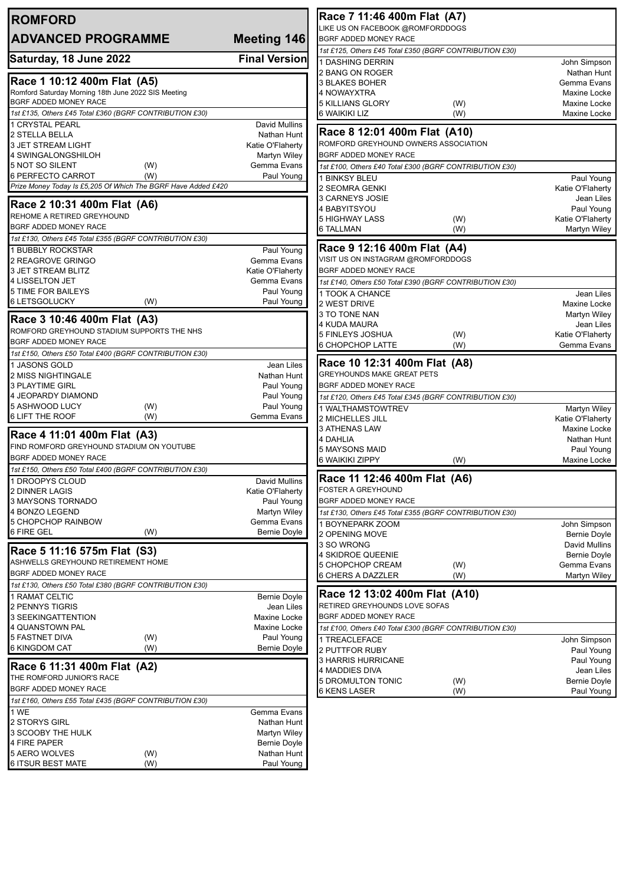| <b>ROMFORD</b>                                                                     |                                | Race 7 11:46 400m Flat (A7)                                                      |                              |
|------------------------------------------------------------------------------------|--------------------------------|----------------------------------------------------------------------------------|------------------------------|
| <b>ADVANCED PROGRAMME</b>                                                          | Meeting 146                    | LIKE US ON FACEBOOK @ROMFORDDOGS<br>BGRF ADDED MONEY RACE                        |                              |
|                                                                                    |                                | 1st £125, Others £45 Total £350 (BGRF CONTRIBUTION £30)                          |                              |
| Saturday, 18 June 2022                                                             | <b>Final Version</b>           | <b>1 DASHING DERRIN</b>                                                          | John Simpson                 |
|                                                                                    |                                | 2 BANG ON ROGER                                                                  | Nathan Hunt                  |
| Race 1 10:12 400m Flat (A5)<br>Romford Saturday Morning 18th June 2022 SIS Meeting |                                | 3 BLAKES BOHER                                                                   | Gemma Evans                  |
| BGRF ADDED MONEY RACE                                                              |                                | 4 NOWAYXTRA<br><b>5 KILLIANS GLORY</b><br>(W)                                    | Maxine Locke<br>Maxine Locke |
| 1st £135, Others £45 Total £360 (BGRF CONTRIBUTION £30)                            |                                | 6 WAIKIKI LIZ<br>(W)                                                             | Maxine Locke                 |
| 1 CRYSTAL PEARL                                                                    | <b>David Mullins</b>           |                                                                                  |                              |
| 2 STELLA BELLA                                                                     | Nathan Hunt                    | Race 8 12:01 400m Flat (A10)                                                     |                              |
| <b>3 JET STREAM LIGHT</b>                                                          | Katie O'Flaherty               | ROMFORD GREYHOUND OWNERS ASSOCIATION                                             |                              |
| 4 SWINGALONGSHILOH<br>5 NOT SO SILENT<br>(W)                                       | Martyn Wiley<br>Gemma Evans    | <b>BGRF ADDED MONEY RACE</b>                                                     |                              |
| 6 PERFECTO CARROT<br>(W)                                                           | Paul Young                     | 1st £100, Others £40 Total £300 (BGRF CONTRIBUTION £30)<br>1 BINKSY BLEU         | Paul Young                   |
| Prize Money Today Is £5,205 Of Which The BGRF Have Added £420                      |                                | 2 SEOMRA GENKI                                                                   | Katie O'Flaherty             |
|                                                                                    |                                | 3 CARNEYS JOSIE                                                                  | Jean Liles                   |
| Race 2 10:31 400m Flat (A6)<br>REHOME A RETIRED GREYHOUND                          |                                | 4 BABYITSYOU                                                                     | Paul Young                   |
| <b>BGRF ADDED MONEY RACE</b>                                                       |                                | <b>5 HIGHWAY LASS</b><br>(W)                                                     | Katie O'Flaherty             |
| 1st £130, Others £45 Total £355 (BGRF CONTRIBUTION £30)                            |                                | 6 TALLMAN<br>(W)                                                                 | Martyn Wiley                 |
| 1 BUBBLY ROCKSTAR                                                                  | Paul Young                     | Race 9 12:16 400m Flat (A4)                                                      |                              |
| 2 REAGROVE GRINGO                                                                  | Gemma Evans                    | VISIT US ON INSTAGRAM @ROMFORDDOGS                                               |                              |
| 3 JET STREAM BLITZ                                                                 | Katie O'Flaherty               | BGRF ADDED MONEY RACE                                                            |                              |
| 4 LISSELTON JET                                                                    | Gemma Evans                    | 1st £140, Others £50 Total £390 (BGRF CONTRIBUTION £30)                          |                              |
| <b>5 TIME FOR BAILEYS</b><br><b>6 LETSGOLUCKY</b><br>(W)                           | Paul Young<br>Paul Young       | 1 TOOK A CHANCE                                                                  | Jean Liles                   |
|                                                                                    |                                | 2 WEST DRIVE<br>3 TO TONE NAN                                                    | Maxine Locke<br>Martyn Wiley |
| Race 3 10:46 400m Flat (A3)                                                        |                                | 4 KUDA MAURA                                                                     | Jean Liles                   |
| ROMFORD GREYHOUND STADIUM SUPPORTS THE NHS                                         |                                | <b>5 FINLEYS JOSHUA</b><br>(W)                                                   | Katie O'Flaherty             |
| <b>BGRF ADDED MONEY RACE</b>                                                       |                                | 6 CHOPCHOP LATTE<br>(W)                                                          | Gemma Evans                  |
| 1st £150, Others £50 Total £400 (BGRF CONTRIBUTION £30)                            |                                | Race 10 12:31 400m Flat (A8)                                                     |                              |
| 1 JASONS GOLD<br>2 MISS NIGHTINGALE                                                | Jean Liles<br>Nathan Hunt      | <b>GREYHOUNDS MAKE GREAT PETS</b>                                                |                              |
| <b>3 PLAYTIME GIRL</b>                                                             | Paul Young                     | BGRF ADDED MONEY RACE                                                            |                              |
| 4 JEOPARDY DIAMOND                                                                 | Paul Young                     | 1st £120, Others £45 Total £345 (BGRF CONTRIBUTION £30)                          |                              |
| 5 ASHWOOD LUCY<br>(W)                                                              | Paul Young                     | 1 WALTHAMSTOWTREV                                                                | Martyn Wiley                 |
| 6 LIFT THE ROOF<br>(W)                                                             | Gemma Evans                    | 2 MICHELLES JILL                                                                 | Katie O'Flaherty             |
| Race 4 11:01 400m Flat (A3)                                                        |                                | 3 ATHENAS LAW<br><b>4 DAHLIA</b>                                                 | Maxine Locke<br>Nathan Hunt  |
| FIND ROMFORD GREYHOUND STADIUM ON YOUTUBE                                          |                                | <b>5 MAYSONS MAID</b>                                                            | Paul Young                   |
| <b>BGRF ADDED MONEY RACE</b>                                                       |                                | <b>6 WAIKIKI ZIPPY</b><br>(W)                                                    | <b>Maxine Locke</b>          |
| 1st £150, Others £50 Total £400 (BGRF CONTRIBUTION £30)                            |                                |                                                                                  |                              |
| 1 DROOPYS CLOUD<br>2 DINNER LAGIS                                                  | David Mullins                  | Race 11 12:46 400m Flat (A6)<br><b>FOSTER A GREYHOUND</b>                        |                              |
| 3 MAYSONS TORNADO                                                                  | Katie O'Flaherty<br>Paul Young | BGRF ADDED MONEY RACE                                                            |                              |
| 4 BONZO LEGEND                                                                     | Martyn Wiley                   | 1st £130, Others £45 Total £355 (BGRF CONTRIBUTION £30)                          |                              |
| 5 CHOPCHOP RAINBOW                                                                 | Gemma Evans                    | 1 BOYNEPARK ZOOM                                                                 | John Simpson                 |
| 6 FIRE GEL<br>(W)                                                                  | Bernie Doyle                   | 2 OPENING MOVE                                                                   | <b>Bernie Doyle</b>          |
| Race 5 11:16 575m Flat (S3)                                                        |                                | 3 SO WRONG                                                                       | David Mullins                |
| ASHWELLS GREYHOUND RETIREMENT HOME                                                 |                                | 4 SKIDROE QUEENIE<br><b>5 CHOPCHOP CREAM</b><br>(W)                              | Bernie Doyle<br>Gemma Evans  |
| <b>BGRF ADDED MONEY RACE</b>                                                       |                                | 6 CHERS A DAZZLER<br>(W)                                                         | Martyn Wiley                 |
| 1st £130, Others £50 Total £380 (BGRF CONTRIBUTION £30)                            |                                |                                                                                  |                              |
| 1 RAMAT CELTIC                                                                     | <b>Bernie Doyle</b>            | Race 12 13:02 400m Flat (A10)                                                    |                              |
| 2 PENNYS TIGRIS                                                                    | Jean Liles                     | RETIRED GREYHOUNDS LOVE SOFAS                                                    |                              |
| 3 SEEKINGATTENTION<br>4 QUANSTOWN PAL                                              | Maxine Locke<br>Maxine Locke   | BGRF ADDED MONEY RACE<br>1st £100, Others £40 Total £300 (BGRF CONTRIBUTION £30) |                              |
| <b>5 FASTNET DIVA</b><br>(W)                                                       | Paul Young                     | 1 TREACLEFACE                                                                    | John Simpson                 |
| 6 KINGDOM CAT<br>(W)                                                               | Bernie Doyle                   | 2 PUTTFOR RUBY                                                                   | Paul Young                   |
|                                                                                    |                                | 3 HARRIS HURRICANE                                                               | Paul Young                   |
| Race 6 11:31 400m Flat (A2)<br>THE ROMFORD JUNIOR'S RACE                           |                                | 4 MADDIES DIVA                                                                   | Jean Liles                   |
| BGRF ADDED MONEY RACE                                                              |                                | <b>5 DROMULTON TONIC</b><br>(W)                                                  | <b>Bernie Doyle</b>          |
| 1st £160, Others £55 Total £435 (BGRF CONTRIBUTION £30)                            |                                | <b>6 KENS LASER</b><br>(W)                                                       | Paul Young                   |
| 1 WE                                                                               | Gemma Evans                    |                                                                                  |                              |
| 2 STORYS GIRL                                                                      | Nathan Hunt                    |                                                                                  |                              |
| 3 SCOOBY THE HULK                                                                  | Martyn Wiley                   |                                                                                  |                              |
| 4 FIRE PAPER                                                                       | Bernie Doyle                   |                                                                                  |                              |
| 5 AERO WOLVES<br>(W)<br>6 ITSUR BEST MATE<br>(W)                                   | Nathan Hunt<br>Paul Young      |                                                                                  |                              |
|                                                                                    |                                |                                                                                  |                              |